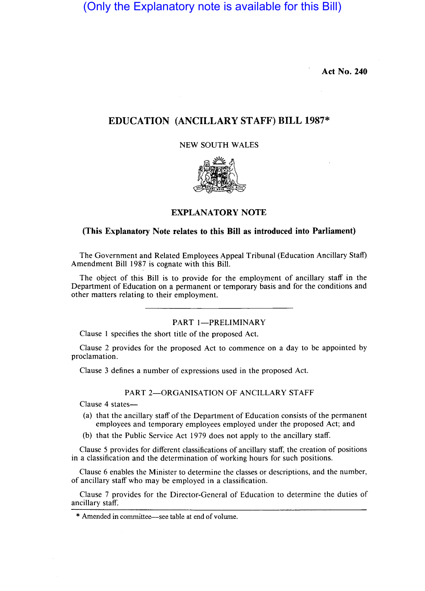(Only the Explanatory note is available for this Bill)

**Act No. 240** 

# **EDUCATION (ANCILLARY STAFF) BILL 1987\***

NEW SOUTH WALES



## **EXPLANATORY NOTE**

### **(This Explanatory Note relates to this Bill as introduced into Parliament)**

The Government and Related Employees Appeal Tribunal (Education Ancillary Staff) Amendment Bill 1987 is cognate with this Bill.

The object of this Bill is to provide for the employment of ancillary staff in the Department of Education on a permanent or temporary basis and for the conditions and other matters relating to their employment.

PART 1-PRELIMINARY

Clause I specifies the short title of the proposed Act.

Clause 2 provides for the proposed Act to commence on a day to be appointed by proclamation.

Clause 3 defines a number of expressions used in the proposed Act.

PART 2-ORGANISATION OF ANCILLARY STAFF

Clause 4 states-

- (a) that the ancillary staff of the Department of Education consists of the permanent employees and temporary employees employed under the proposed Act; and
- (b) that the Public Service Act 1979 does not apply to the ancillary staff.

Clause 5 provides for different classifications of ancillary staff, the creation of positions in a classification and the determination of working hours for such positions.

Clause 6 enables the Minister to determine the classes or descriptions, and the number, of ancillary staff who may be employed in a classification.

Clause 7 provides for the Director-General of Education to determine the duties of ancillary staff.

\* Amended in committee-see table at end of volume.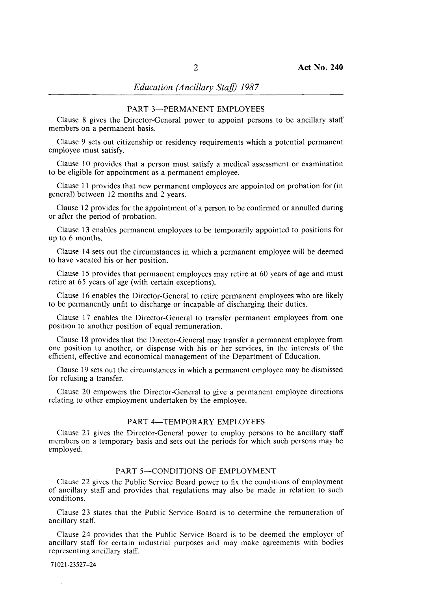## *Education (Ancillary Staif) 1987*

### PART 3-PERMANENT EMPLOYEES

Clause 8 gives the Director-General power to appoint persons to be ancillary staff members on a permanent basis.

Clause 9 sets out citizenship or residency requirements which a potential permanent employee must satisfy.

Clause 10 provides that a person must satisfy a medical assessment or examination to be eligible for appointment as a permanent employee.

Clause 11 provides that new permanent employees are appointed on probation for (in general) between 12 months and 2 years.

Clause 12 provides for the appointment of a person to be confirmed or annulled during or after the period of probation.

Clause 13 enables permanent employees to be temporarily appointed to positions for up to 6 months.

Clause 14 sets out the circumstances in which a permanent employee will be deemed to have vacated his or her position.

Clause 15 provides that permanent employees may retire at 60 years of age and must retire at 65 years of age (with certain exceptions).

Clause 16 enables the Director-General to retire permanent employees who are likely to be permanently unfit to discharge or incapable of discharging their duties.

Clause 17 enables the Director-General to transfer permanent employees from one position to another position of equal remuneration.

Clause 18 provides that the Director-General may transfer a permanent employee from one position to another, or dispense with his or her services, in the interests of the efficient, effective and economical management of the Department of Education.

Clause 19 sets out the circumstances in which a permanent employee may be dismissed for refusing a transfer.

Clause 20 empowers the Director-General to give a permanent employee directions relating to other employment undertaken by the employee.

#### PART 4-TEMPORARY EMPLOYEES

Clause 21 gives the Director-General power to employ persons to be ancillary staff members on a temporary basis and sets out the periods for which such persons may be employed.

#### PART 5-CONDITIONS OF EMPLOYMENT

Clause 22 gives the Public Service Board power to fix the conditions of employment of ancillary staff and provides that regulations may also be made in relation to such conditions.

Clause 23 states that the Public Service Board is to determine the remuneration of ancillary staff.

Clause 24 provides that the Public Service Board is to be deemed the employer of ancillary staff for certain industrial purposes and may make agreements with bodies representing ancillary staff.